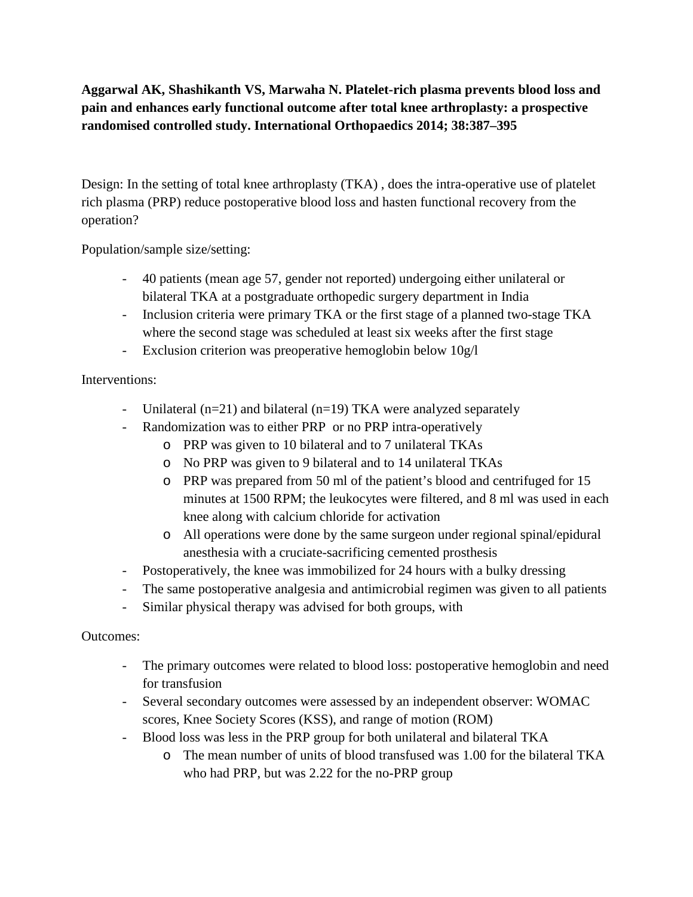**Aggarwal AK, Shashikanth VS, Marwaha N. Platelet-rich plasma prevents blood loss and pain and enhances early functional outcome after total knee arthroplasty: a prospective randomised controlled study. International Orthopaedics 2014; 38:387–395**

Design: In the setting of total knee arthroplasty (TKA) , does the intra-operative use of platelet rich plasma (PRP) reduce postoperative blood loss and hasten functional recovery from the operation?

Population/sample size/setting:

- 40 patients (mean age 57, gender not reported) undergoing either unilateral or bilateral TKA at a postgraduate orthopedic surgery department in India
- Inclusion criteria were primary TKA or the first stage of a planned two-stage TKA where the second stage was scheduled at least six weeks after the first stage
- Exclusion criterion was preoperative hemoglobin below 10g/l

Interventions:

- Unilateral (n=21) and bilateral (n=19) TKA were analyzed separately
- Randomization was to either PRP or no PRP intra-operatively
	- o PRP was given to 10 bilateral and to 7 unilateral TKAs
	- o No PRP was given to 9 bilateral and to 14 unilateral TKAs
	- o PRP was prepared from 50 ml of the patient's blood and centrifuged for 15 minutes at 1500 RPM; the leukocytes were filtered, and 8 ml was used in each knee along with calcium chloride for activation
	- o All operations were done by the same surgeon under regional spinal/epidural anesthesia with a cruciate-sacrificing cemented prosthesis
- Postoperatively, the knee was immobilized for 24 hours with a bulky dressing
- The same postoperative analgesia and antimicrobial regimen was given to all patients
- Similar physical therapy was advised for both groups, with

Outcomes:

- The primary outcomes were related to blood loss: postoperative hemoglobin and need for transfusion
- Several secondary outcomes were assessed by an independent observer: WOMAC scores, Knee Society Scores (KSS), and range of motion (ROM)
- Blood loss was less in the PRP group for both unilateral and bilateral TKA
	- o The mean number of units of blood transfused was 1.00 for the bilateral TKA who had PRP, but was 2.22 for the no-PRP group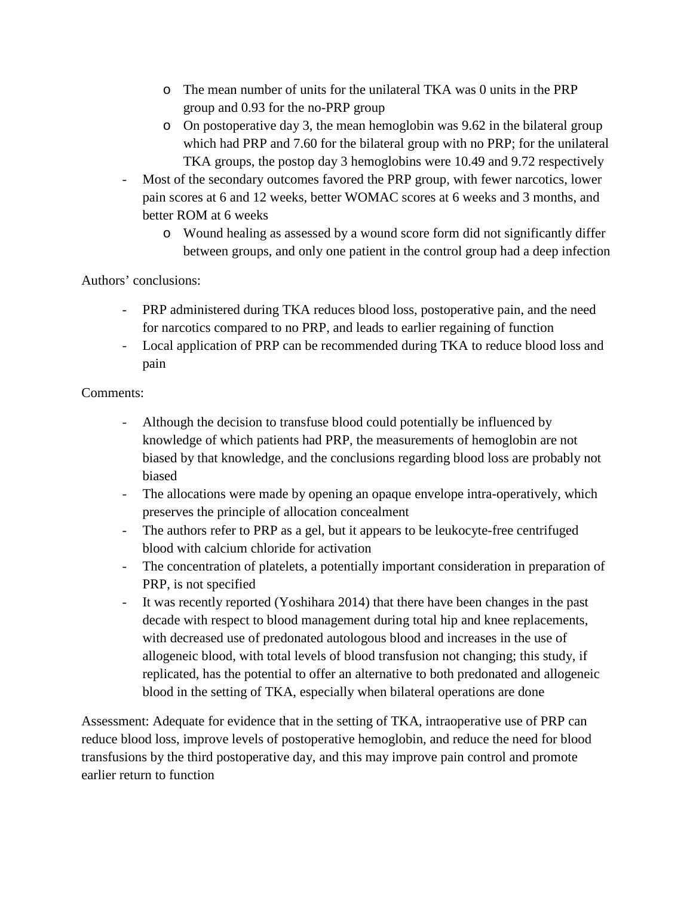- o The mean number of units for the unilateral TKA was 0 units in the PRP group and 0.93 for the no-PRP group
- o On postoperative day 3, the mean hemoglobin was 9.62 in the bilateral group which had PRP and 7.60 for the bilateral group with no PRP; for the unilateral TKA groups, the postop day 3 hemoglobins were 10.49 and 9.72 respectively
- Most of the secondary outcomes favored the PRP group, with fewer narcotics, lower pain scores at 6 and 12 weeks, better WOMAC scores at 6 weeks and 3 months, and better ROM at 6 weeks
	- o Wound healing as assessed by a wound score form did not significantly differ between groups, and only one patient in the control group had a deep infection

Authors' conclusions:

- PRP administered during TKA reduces blood loss, postoperative pain, and the need for narcotics compared to no PRP, and leads to earlier regaining of function
- Local application of PRP can be recommended during TKA to reduce blood loss and pain

Comments:

- Although the decision to transfuse blood could potentially be influenced by knowledge of which patients had PRP, the measurements of hemoglobin are not biased by that knowledge, and the conclusions regarding blood loss are probably not biased
- The allocations were made by opening an opaque envelope intra-operatively, which preserves the principle of allocation concealment
- The authors refer to PRP as a gel, but it appears to be leukocyte-free centrifuged blood with calcium chloride for activation
- The concentration of platelets, a potentially important consideration in preparation of PRP, is not specified
- It was recently reported (Yoshihara 2014) that there have been changes in the past decade with respect to blood management during total hip and knee replacements, with decreased use of predonated autologous blood and increases in the use of allogeneic blood, with total levels of blood transfusion not changing; this study, if replicated, has the potential to offer an alternative to both predonated and allogeneic blood in the setting of TKA, especially when bilateral operations are done

Assessment: Adequate for evidence that in the setting of TKA, intraoperative use of PRP can reduce blood loss, improve levels of postoperative hemoglobin, and reduce the need for blood transfusions by the third postoperative day, and this may improve pain control and promote earlier return to function